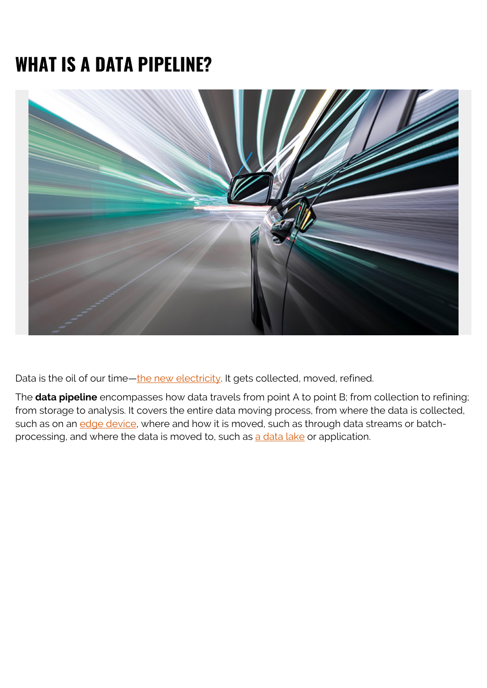# **WHAT IS A DATA PIPELINE?**



Data is the oil of our time-the new electricity. It gets collected, moved, refined.

The **data pipeline** encompasses how data travels from point A to point B; from collection to refining; from storage to analysis. It covers the entire data moving process, from where the data is collected, such as on an [edge device,](https://blogs.bmc.com/blogs/edge-computing/) where and how it is moved, such as through data streams or batchprocessing, and where the data is moved to, such as [a data lake](https://blogs.bmc.com/blogs/data-lake-vs-data-warehouse-vs-database-whats-the-difference/) or application.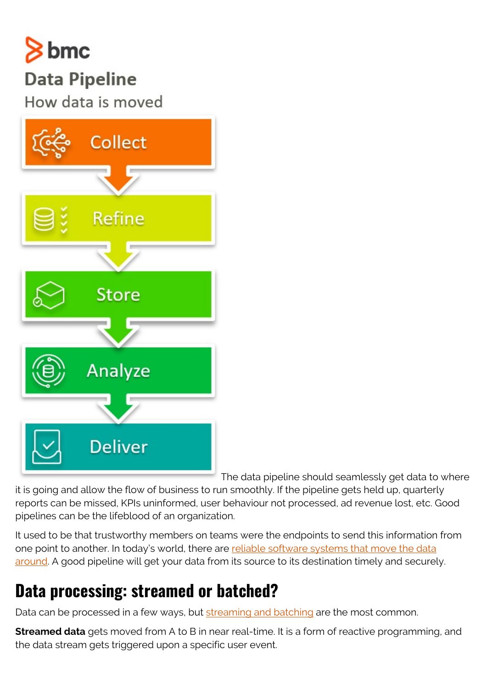

### **Data Pipeline**

How data is moved



The data pipeline should seamlessly get data to where

it is going and allow the flow of business to run smoothly. If the pipeline gets held up, quarterly reports can be missed, KPIs uninformed, user behaviour not processed, ad revenue lost, etc. Good pipelines can be the lifeblood of an organization.

It used to be that trustworthy members on teams were the endpoints to send this information from one point to another. In today's world, there are [reliable software systems that move the data](https://blogs.bmc.com/it-solutions/control-m.html) [around](https://blogs.bmc.com/it-solutions/control-m.html). A good pipeline will get your data from its source to its destination timely and securely.

### **Data processing: streamed or batched?**

Data can be processed in a few ways, but [streaming and batching](https://blogs.bmc.com/blogs/batch-processing-stream-processing-real-time/) are the most common.

**Streamed data** gets moved from A to B in near real-time. It is a form of reactive programming, and the data stream gets triggered upon a specific user event.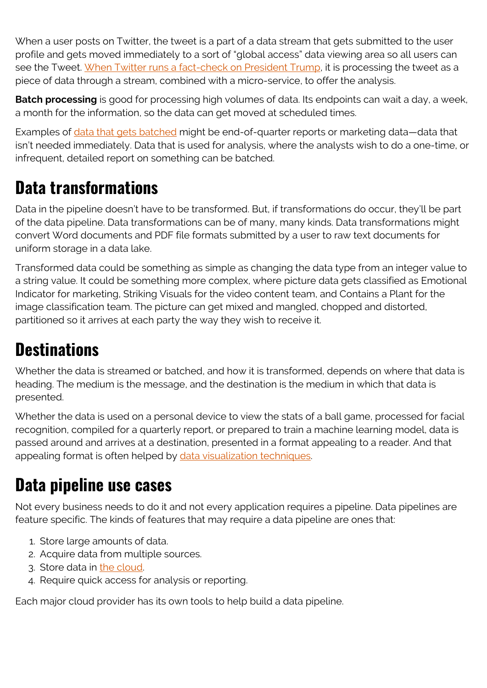When a user posts on Twitter, the tweet is a part of a data stream that gets submitted to the user profile and gets moved immediately to a sort of "global access" data viewing area so all users can see the Tweet. [When Twitter runs a fact-check on President Trump,](https://www.washingtonpost.com/technology/2020/05/26/trump-twitter-label-fact-check/) it is processing the tweet as a piece of data through a stream, combined with a micro-service, to offer the analysis.

**Batch processing** is good for processing high volumes of data. Its endpoints can wait a day, a week, a month for the information, so the data can get moved at scheduled times.

Examples of [data that gets batched](https://blogs.bmc.com/blogs/what-is-batch-processing-batch-processing-explained/) might be end-of-quarter reports or marketing data—data that isn't needed immediately. Data that is used for analysis, where the analysts wish to do a one-time, or infrequent, detailed report on something can be batched.

### **Data transformations**

Data in the pipeline doesn't have to be transformed. But, if transformations do occur, they'll be part of the data pipeline. Data transformations can be of many, many kinds. Data transformations might convert Word documents and PDF file formats submitted by a user to raw text documents for uniform storage in a data lake.

Transformed data could be something as simple as changing the data type from an integer value to a string value. It could be something more complex, where picture data gets classified as Emotional Indicator for marketing, Striking Visuals for the video content team, and Contains a Plant for the image classification team. The picture can get mixed and mangled, chopped and distorted, partitioned so it arrives at each party the way they wish to receive it.

### **Destinations**

Whether the data is streamed or batched, and how it is transformed, depends on where that data is heading. The medium is the message, and the destination is the medium in which that data is presented.

Whether the data is used on a personal device to view the stats of a ball game, processed for facial recognition, compiled for a quarterly report, or prepared to train a machine learning model, data is passed around and arrives at a destination, presented in a format appealing to a reader. And that appealing format is often helped by [data visualization techniques.](https://blogs.bmc.com/blogs/data-visualization/)

#### **Data pipeline use cases**

Not every business needs to do it and not every application requires a pipeline. Data pipelines are feature specific. The kinds of features that may require a data pipeline are ones that:

- 1. Store large amounts of data.
- 2. Acquire data from multiple sources.
- 3. Store data in [the cloud.](https://blogs.bmc.com/blogs/public-private-hybrid-cloud/)
- 4. Require quick access for analysis or reporting.

Each major cloud provider has its own tools to help build a data pipeline.